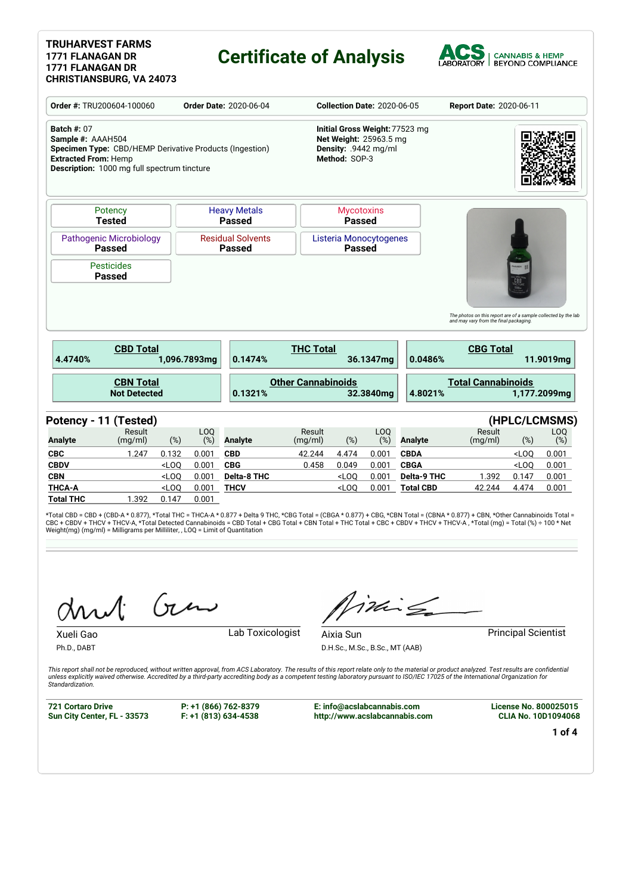#### **TRUHARVEST FARMS 1771 FLANAGAN DR 1771 FLANAGAN DR CHRISTIANSBURG, VA 24073**

## **Certificate of Analysis**



| <b>Batch #: 07</b><br>Initial Gross Weight: 77523 mg<br>Sample #: AAAH504<br>Net Weight: 25963.5 mg<br>Specimen Type: CBD/HEMP Derivative Products (Ingestion)<br>Density: .9442 mg/ml<br>Method: SOP-3<br><b>Extracted From: Hemp</b><br><b>Description:</b> 1000 mg full spectrum tincture<br><b>Heavy Metals</b><br>Potency<br><b>Mycotoxins</b><br><b>Tested</b><br><b>Passed</b><br><b>Passed</b><br><b>Residual Solvents</b><br><b>Pathogenic Microbiology</b><br>Listeria Monocytogenes<br><b>Passed</b><br><b>Passed</b><br><b>Passed</b><br><b>Pesticides</b><br><b>Passed</b><br><b>THC Total</b><br><b>CBD Total</b><br>4.4740%<br>1.096.7893ma<br>0.1474%<br>0.0486%<br>36.1347mg<br><b>Other Cannabinoids</b><br><b>CBN Total</b><br><b>Not Detected</b><br>0.1321%<br>32.3840mg<br>4.8021% |                                           |
|----------------------------------------------------------------------------------------------------------------------------------------------------------------------------------------------------------------------------------------------------------------------------------------------------------------------------------------------------------------------------------------------------------------------------------------------------------------------------------------------------------------------------------------------------------------------------------------------------------------------------------------------------------------------------------------------------------------------------------------------------------------------------------------------------------|-------------------------------------------|
|                                                                                                                                                                                                                                                                                                                                                                                                                                                                                                                                                                                                                                                                                                                                                                                                          |                                           |
|                                                                                                                                                                                                                                                                                                                                                                                                                                                                                                                                                                                                                                                                                                                                                                                                          |                                           |
|                                                                                                                                                                                                                                                                                                                                                                                                                                                                                                                                                                                                                                                                                                                                                                                                          |                                           |
|                                                                                                                                                                                                                                                                                                                                                                                                                                                                                                                                                                                                                                                                                                                                                                                                          |                                           |
|                                                                                                                                                                                                                                                                                                                                                                                                                                                                                                                                                                                                                                                                                                                                                                                                          | <b>CBG Total</b><br>11.9019ma             |
|                                                                                                                                                                                                                                                                                                                                                                                                                                                                                                                                                                                                                                                                                                                                                                                                          | <b>Total Cannabinoids</b><br>1,177.2099mg |
| Potency - 11 (Tested)                                                                                                                                                                                                                                                                                                                                                                                                                                                                                                                                                                                                                                                                                                                                                                                    | (HPLC/LCMSMS)                             |
| Result<br>LOQ<br>LOQ<br>Result<br><b>Analyte</b><br>(%)<br>(%)<br><b>Analyte</b><br>(%)<br>(mq/ml)<br>(mg/ml)<br>(%)<br><b>Analyte</b>                                                                                                                                                                                                                                                                                                                                                                                                                                                                                                                                                                                                                                                                   | Result<br>LOQ<br>(%)<br>(mg/ml)<br>$(\%)$ |
| 0.001<br><b>CBC</b><br>0.132<br>0.001<br><b>CBD</b><br>42.244<br>4.474<br><b>CBDA</b><br>1.247                                                                                                                                                                                                                                                                                                                                                                                                                                                                                                                                                                                                                                                                                                           | 0.001<br>$<$ LOO                          |
| <b>CBDV</b><br><b>CBG</b><br><b>CBGA</b><br>$<$ LOO<br>0.001<br>0.458<br>0.049<br>0.001                                                                                                                                                                                                                                                                                                                                                                                                                                                                                                                                                                                                                                                                                                                  |                                           |
| <b>CBN</b><br><b>Delta-8 THC</b><br>Delta-9 THC<br>$<$ LOQ<br>0.001<br>$<$ LOO<br>0.001                                                                                                                                                                                                                                                                                                                                                                                                                                                                                                                                                                                                                                                                                                                  | $<$ LOO<br>0.001                          |
| <b>THCA-A</b><br>0.001<br><b>THCV</b><br>0.001<br>$<$ LOO<br>$<$ LOO<br><b>Total CBD</b>                                                                                                                                                                                                                                                                                                                                                                                                                                                                                                                                                                                                                                                                                                                 | 1.392<br>0.147<br>0.001                   |

\*Total CBD = CBD + (CBD-A \* 0.877), \*Total THC = THCA-A \* 0.877 + Delta 9 THC, \*CBG Total = (CBGA \* 0.877) + CBG, \*CBN Total = (CBNA \* 0.877) + CBN, \*Other Cannabinoids Total =<br>CBC + CBDV + THCV + THCV-A, \*Total Detected C

Gen

Xueli Gao **Lab Toxicologist** 

Ph.D., DABT

iding

Aixia Sun **Principal Scientist** 

D.H.Sc., M.Sc., B.Sc., MT (AAB)

This report shall not be reproduced, without written approval, from ACS Laboratory. The results of this report relate only to the material or product analyzed. Test results are confidential<br>unless explicitly waived otherwi *Standardization.*

**721 Cortaro Drive Sun City Center, FL - 33573** **P: +1 (866) 762-8379 F: +1 (813) 634-4538**

**E: info@acslabcannabis.com http://www.acslabcannabis.com** **License No. 800025015 CLIA No. 10D1094068**

**1 of 4**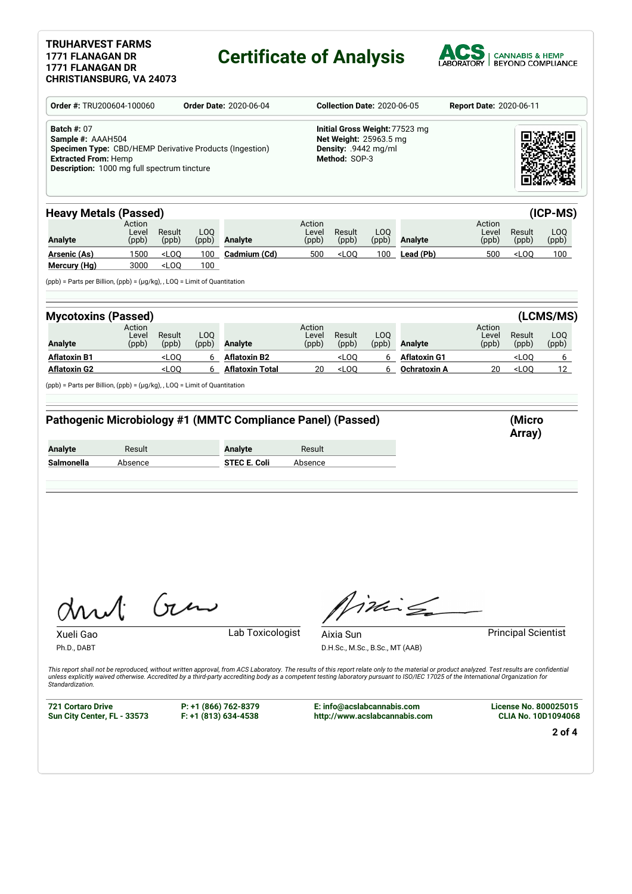### **TRUHARVEST FARMS 1771 FLANAGAN DR 1771 FLANAGAN DR**

# **Certificate of Analysis**



| Order #: TRU200604-100060                                                                                                                                                                      | <b>Order Date: 2020-06-04</b> |                    | <b>Collection Date: 2020-06-05</b> |                                                                                                              |                                                                                                   | <b>Report Date: 2020-06-11</b>               |              |                                                                                                                                                                                                                                                                                                                                                                                     |                          |                                             |                  |
|------------------------------------------------------------------------------------------------------------------------------------------------------------------------------------------------|-------------------------------|--------------------|------------------------------------|--------------------------------------------------------------------------------------------------------------|---------------------------------------------------------------------------------------------------|----------------------------------------------|--------------|-------------------------------------------------------------------------------------------------------------------------------------------------------------------------------------------------------------------------------------------------------------------------------------------------------------------------------------------------------------------------------------|--------------------------|---------------------------------------------|------------------|
| <b>Batch #: 07</b><br>Sample #: AAAH504<br><b>Specimen Type:</b> CBD/HEMP Derivative Products (Ingestion)<br><b>Extracted From: Hemp</b><br><b>Description:</b> 1000 mg full spectrum tincture |                               |                    |                                    |                                                                                                              | Initial Gross Weight: 77523 mg<br>Net Weight: 25963.5 mg<br>Density: .9442 mg/ml<br>Method: SOP-3 |                                              |              |                                                                                                                                                                                                                                                                                                                                                                                     |                          |                                             |                  |
| <b>Heavy Metals (Passed)</b>                                                                                                                                                                   |                               |                    |                                    |                                                                                                              |                                                                                                   |                                              |              |                                                                                                                                                                                                                                                                                                                                                                                     |                          |                                             | (ICP-MS)         |
| <b>Analyte</b>                                                                                                                                                                                 | Action<br>Level<br>(ppb)      | Result<br>(ppb)    | LOQ<br>(ppb)                       | <b>Analyte</b>                                                                                               | Action<br>Level<br>(ppb)                                                                          | Result<br>(ppb)                              | LOQ<br>(ppb) | Analyte                                                                                                                                                                                                                                                                                                                                                                             | Action<br>Level<br>(ppb) | Result<br>(ppb)                             | LOQ<br>(ppb)     |
| Arsenic (As)                                                                                                                                                                                   | 1500                          | $<$ LOQ            | 100                                | Cadmium (Cd)                                                                                                 | 500                                                                                               | $<$ LOQ                                      | 100          | Lead (Pb)                                                                                                                                                                                                                                                                                                                                                                           | 500                      | <loq< td=""><td>100<sub>1</sub></td></loq<> | 100 <sub>1</sub> |
| Mercury (Hg)<br>(ppb) = Parts per Billion, (ppb) = (µg/kg), , LOQ = Limit of Quantitation                                                                                                      | 3000                          | $<$ LOQ            | 100                                |                                                                                                              |                                                                                                   |                                              |              |                                                                                                                                                                                                                                                                                                                                                                                     |                          |                                             |                  |
| <b>Mycotoxins (Passed)</b>                                                                                                                                                                     |                               |                    |                                    |                                                                                                              |                                                                                                   |                                              |              |                                                                                                                                                                                                                                                                                                                                                                                     |                          |                                             | (LCMS/MS)        |
|                                                                                                                                                                                                | Action<br>Level               | Result             | LOQ                                |                                                                                                              | Action<br>Level                                                                                   | Result                                       | LOQ          |                                                                                                                                                                                                                                                                                                                                                                                     | Action<br>Level          | Result                                      | LOQ              |
| <b>Analyte</b>                                                                                                                                                                                 | (ppb)                         | (ppb)              | (ppb)                              | Analyte                                                                                                      | (ppb)                                                                                             | (ppb)                                        | (ppb)        | Analyte                                                                                                                                                                                                                                                                                                                                                                             | (ppb)                    | (ppb)                                       | (ppb)            |
|                                                                                                                                                                                                |                               |                    |                                    |                                                                                                              |                                                                                                   |                                              |              |                                                                                                                                                                                                                                                                                                                                                                                     |                          | <loq< td=""><td>6</td></loq<>               | 6                |
|                                                                                                                                                                                                |                               | $<$ LOQ<br>$<$ LOQ | 6<br>6                             | <b>Aflatoxin B2</b><br><b>Aflatoxin Total</b><br>Pathogenic Microbiology #1 (MMTC Compliance Panel) (Passed) | 20                                                                                                | $<$ LOQ<br>$<$ LOQ                           | 6<br>6       | <b>Aflatoxin G1</b><br><b>Ochratoxin A</b>                                                                                                                                                                                                                                                                                                                                          | 20                       | $<$ LOQ<br>(Micro                           |                  |
|                                                                                                                                                                                                | Result                        |                    |                                    | <b>Analyte</b>                                                                                               | Result                                                                                            |                                              |              |                                                                                                                                                                                                                                                                                                                                                                                     |                          | Array)                                      |                  |
| <b>Aflatoxin B1</b><br><b>Aflatoxin G2</b><br>$(ppb)$ = Parts per Billion, $(ppb)$ = $(\mu g/kg)$ , , LOQ = Limit of Quantitation<br><b>Analyte</b><br>Salmonella                              | Absence                       |                    |                                    | <b>STEC E. Coli</b>                                                                                          | Absence                                                                                           |                                              |              |                                                                                                                                                                                                                                                                                                                                                                                     |                          |                                             | 12               |
| M                                                                                                                                                                                              |                               | $\sigma$           |                                    |                                                                                                              |                                                                                                   |                                              |              | inis                                                                                                                                                                                                                                                                                                                                                                                |                          |                                             |                  |
| Xueli Gao<br>Ph.D., DABT                                                                                                                                                                       |                               |                    |                                    | Lab Toxicologist                                                                                             |                                                                                                   | Aixia Sun<br>D.H.Sc., M.Sc., B.Sc., MT (AAB) |              | This report shall not be reproduced, without written approval, from ACS Laboratory. The results of this report relate only to the material or product analyzed. Test results are confidential<br>unless explicitly waived otherwise. Accredited by a third-party accrediting body as a competent testing laboratory pursuant to ISO/IEC 17025 of the International Organization for |                          | <b>Principal Scientist</b>                  |                  |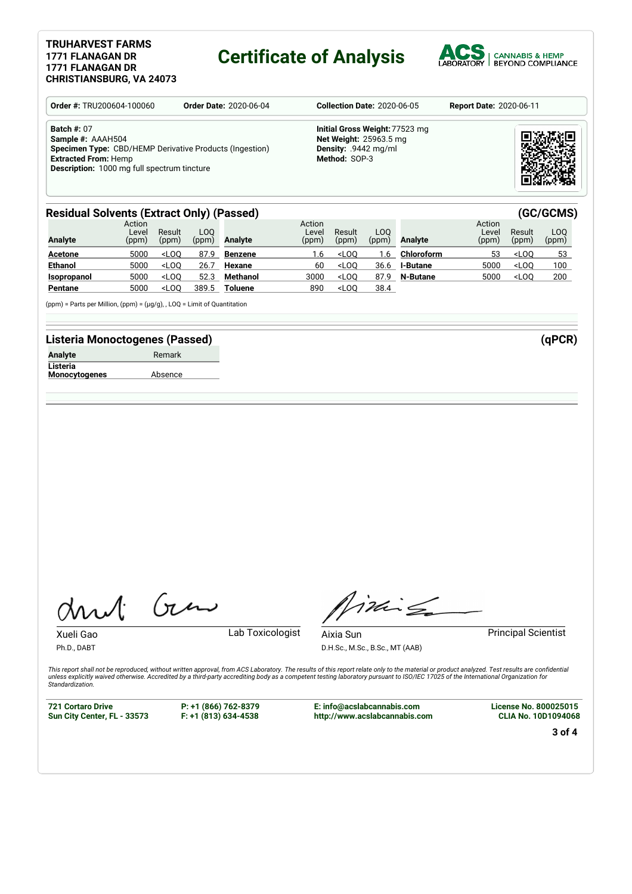#### **TRUHARVEST FARMS 1771 FLANAGAN DR 1771 FLANAGAN DR CHRISTIANSBURG, VA 24073**

## **Certificate of Analysis**



| <b>Order #: TRU200604-100060</b>                                                                                                                                                        | <b>Order Date: 2020-06-04</b> | <b>Collection Date: 2020-06-05</b>                                                                       | <b>Report Date: 2020-06-11</b> |
|-----------------------------------------------------------------------------------------------------------------------------------------------------------------------------------------|-------------------------------|----------------------------------------------------------------------------------------------------------|--------------------------------|
| <b>Batch #: 07</b><br>Sample #: AAAH504<br>Specimen Type: CBD/HEMP Derivative Products (Ingestion)<br><b>Extracted From: Hemp</b><br><b>Description:</b> 1000 mg full spectrum tincture |                               | Initial Gross Weight: 77523 mg<br><b>Net Weight: 25963.5 mg</b><br>Density: .9442 mg/ml<br>Method: SOP-3 |                                |

#### **Residual Solvents (Extract Only) (Passed) (GC/GCMS)**

| <b>Analyte</b>     | Action<br>Leve<br>(ppm) | Result<br>(ppm) | LOO<br>(ppm) | Analyte        | Action<br>Level<br>(ppm) | Result<br>(ppm) | LOO.<br>(ppm) | Analyte           | Action<br>Level<br>(ppm) | Result<br>(ppm) | LOO<br>(ppm) |
|--------------------|-------------------------|-----------------|--------------|----------------|--------------------------|-----------------|---------------|-------------------|--------------------------|-----------------|--------------|
| <b>Acetone</b>     | 5000                    | $<$ LOO         | 87.9         | <b>Benzene</b> | 1.6                      | $<$ LOO         | .6            | <b>Chloroform</b> | 53                       | $<$ LOO         | 53           |
| <b>Ethanol</b>     | 5000                    | $<$ LOO         | 26.7         | Hexane         | 60                       | $<$ LOO         | 36.6          | <b>I-Butane</b>   | 5000                     | $<$ LOO         | 100          |
| <b>Isopropanol</b> | 5000                    | $<$ LOO         | 52.3         | Methanol       | 3000                     | $<$ LOO         | 87.9          | <b>N-Butane</b>   | 5000                     | $<$ LOO         | 200          |
| Pentane            | 5000                    | $<$ LOO         | 389.5        | Toluene        | 890                      | $<$ LOO         | 38.4          |                   |                          |                 |              |

(ppm) = Parts per Million, (ppm) = (µg/g), , LOQ = Limit of Quantitation

### **Listeria Monoctogenes (Passed) (qPCR)**

| Analyte              | Remark  |
|----------------------|---------|
| Listeria             |         |
| <b>Monocytogenes</b> | Absence |

Gen

Xueli Gao **Lab Toxicologist** 

Ph.D., DABT

Titling Aixia Sun **Principal Scientist** 

D.H.Sc., M.Sc., B.Sc., MT (AAB)

This report shall not be reproduced, without written approval, from ACS Laboratory. The results of this report relate only to the material or product analyzed. Test results are confidential<br>unless explicitly waived otherwi *Standardization.*

**721 Cortaro Drive Sun City Center, FL - 33573** **P: +1 (866) 762-8379 F: +1 (813) 634-4538**

**E: info@acslabcannabis.com http://www.acslabcannabis.com** **License No. 800025015 CLIA No. 10D1094068**

**3 of 4**